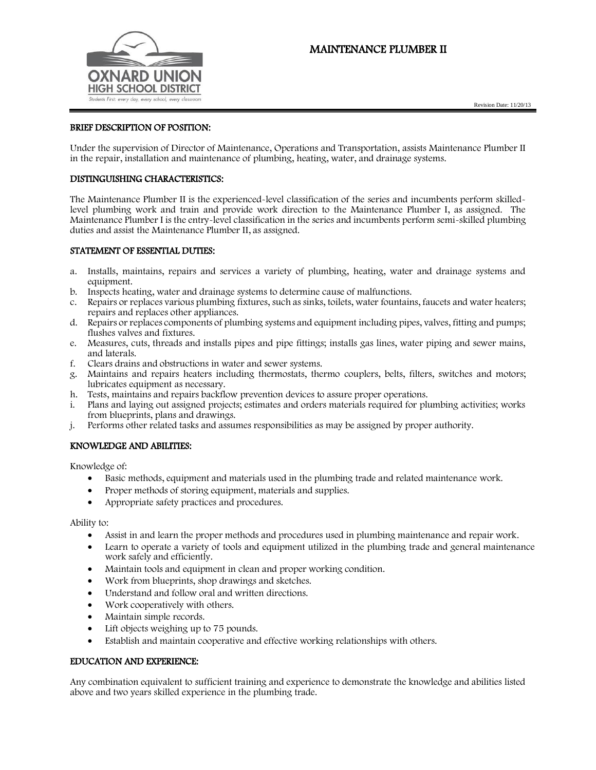# MAINTENANCE PLUMBER II





# BRIEF DESCRIPTION OF POSITION:

Under the supervision of Director of Maintenance, Operations and Transportation, assists Maintenance Plumber II in the repair, installation and maintenance of plumbing, heating, water, and drainage systems.

#### DISTINGUISHING CHARACTERISTICS:

The Maintenance Plumber II is the experienced-level classification of the series and incumbents perform skilledlevel plumbing work and train and provide work direction to the Maintenance Plumber I, as assigned. The Maintenance Plumber I is the entry-level classification in the series and incumbents perform semi-skilled plumbing duties and assist the Maintenance Plumber II, as assigned.

#### STATEMENT OF ESSENTIAL DUTIES:

- a. Installs, maintains, repairs and services a variety of plumbing, heating, water and drainage systems and equipment.
- b. Inspects heating, water and drainage systems to determine cause of malfunctions.
- c. Repairs or replaces various plumbing fixtures, such as sinks, toilets, water fountains, faucets and water heaters; repairs and replaces other appliances.
- d. Repairs or replaces components of plumbing systems and equipment including pipes, valves, fitting and pumps; flushes valves and fixtures.
- e. Measures, cuts, threads and installs pipes and pipe fittings; installs gas lines, water piping and sewer mains, and laterals.
- f. Clears drains and obstructions in water and sewer systems.
- g. Maintains and repairs heaters including thermostats, thermo couplers, belts, filters, switches and motors; lubricates equipment as necessary.
- h. Tests, maintains and repairs backflow prevention devices to assure proper operations.
- i. Plans and laying out assigned projects; estimates and orders materials required for plumbing activities; works from blueprints, plans and drawings.
- j. Performs other related tasks and assumes responsibilities as may be assigned by proper authority.

### KNOWLEDGE AND ABILITIES:

Knowledge of:

- Basic methods, equipment and materials used in the plumbing trade and related maintenance work.
- Proper methods of storing equipment, materials and supplies.
- Appropriate safety practices and procedures.

Ability to:

- Assist in and learn the proper methods and procedures used in plumbing maintenance and repair work.
- Learn to operate a variety of tools and equipment utilized in the plumbing trade and general maintenance work safely and efficiently.
- Maintain tools and equipment in clean and proper working condition.
- Work from blueprints, shop drawings and sketches.
- Understand and follow oral and written directions.
- Work cooperatively with others.
- Maintain simple records.
- Lift objects weighing up to 75 pounds.
- Establish and maintain cooperative and effective working relationships with others.

### EDUCATION AND EXPERIENCE:

Any combination equivalent to sufficient training and experience to demonstrate the knowledge and abilities listed above and two years skilled experience in the plumbing trade.